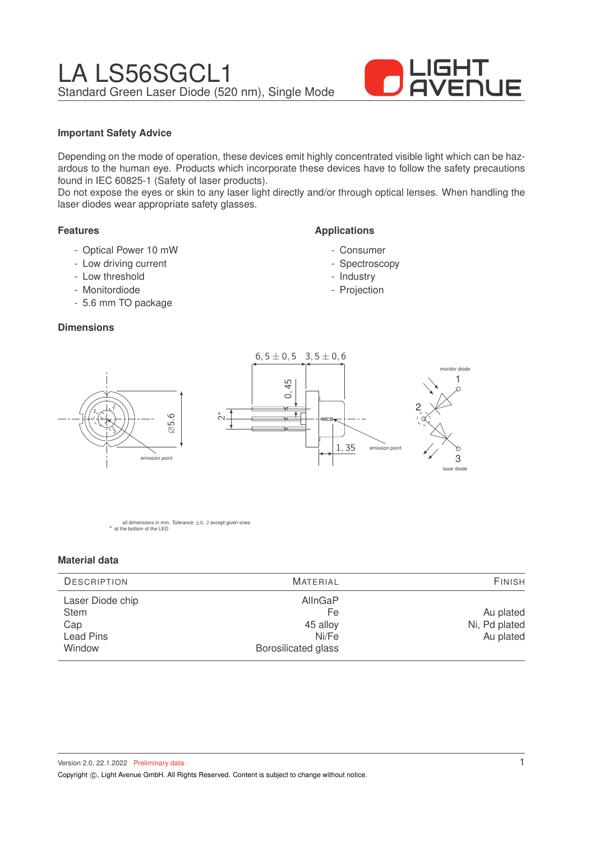

# **Important Safety Advice**

Depending on the mode of operation, these devices emit highly concentrated visible light which can be hazardous to the human eye. Products which incorporate these devices have to follow the safety precautions found in IEC 60825-1 (Safety of laser products).

Do not expose the eyes or skin to any laser light directly and/or through optical lenses. When handling the laser diodes wear appropriate safety glasses.

#### **Features**

- Optical Power 10 mW
- Low driving current
- Low threshold
- Monitordiode
- 5.6 mm TO package

#### **Dimensions**

#### **Applications**

- Consumer
- Spectroscopy
- Industry
- Projection



all dimensions in mm. Tolerance  $\pm$ 0, 2 except given ones \* at the bottom of the LED

#### **Material data**

| <b>DESCRIPTION</b>                                                   | <b>MATERIAL</b>                                                  | <b>FINISH</b>                           |  |
|----------------------------------------------------------------------|------------------------------------------------------------------|-----------------------------------------|--|
| Laser Diode chip<br><b>Stem</b><br>Cap<br><b>Lead Pins</b><br>Window | AllnGaP<br>Fe<br>45 alloy<br>Ni/Fe<br><b>Borosilicated glass</b> | Au plated<br>Ni, Pd plated<br>Au plated |  |

Version 2.0, 22.1.2022 Preliminary data Copyright  $\circled{c}$ , Light Avenue GmbH. All Rights Reserved. Content is subject to change without notice.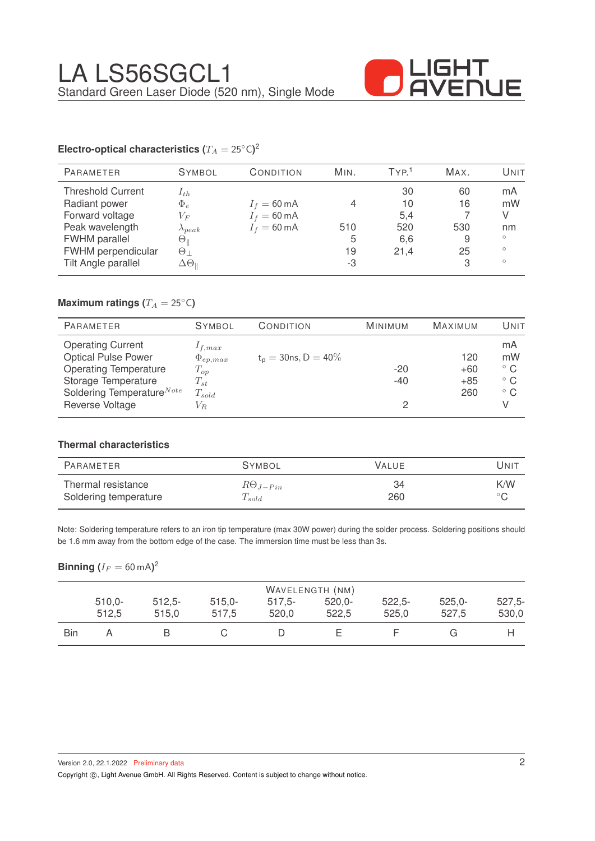

# **Electro-optical characteristics (** $T_A = 25°C$ **)<sup>2</sup>**

| <b>PARAMETER</b>                                                                | <b>SYMBOL</b>                                                                                                          | CONDITION                                                       | MIN.          | TYP <sup>1</sup>       | MAX.            | UNIT                          |
|---------------------------------------------------------------------------------|------------------------------------------------------------------------------------------------------------------------|-----------------------------------------------------------------|---------------|------------------------|-----------------|-------------------------------|
| <b>Threshold Current</b><br>Radiant power<br>Forward voltage<br>Peak wavelength | $I_{th}$<br>$\Phi_e$<br>$V_{F}% ^{r}\left( \mathcal{S}\right) =V_{F}^{r}\left( \mathcal{S}\right)$<br>$\lambda_{peak}$ | $I_f = 60$ mA<br>$I_f = 60 \text{ mA}$<br>$I_f = 60 \text{ mA}$ | 510           | 30<br>10<br>5,4<br>520 | 60<br>16<br>530 | mA<br>mW<br>V<br>nm           |
| <b>FWHM</b> parallel<br>FWHM perpendicular<br>Tilt Angle parallel               | $\Theta_\parallel$<br>$\Theta_{\perp}$<br>$\Delta\Theta_{\parallel}$                                                   |                                                                 | 5<br>19<br>-3 | 6,6<br>21.4            | 9<br>25<br>3    | $\circ$<br>$\circ$<br>$\circ$ |

# **Maximum ratings (** $T_A = 25$ °C)

| <b>PARAMETER</b>                                             | <b>SYMBOL</b>               | CONDITION              | <b>MINIMUM</b> | <b>MAXIMUM</b> | UNIT                         |
|--------------------------------------------------------------|-----------------------------|------------------------|----------------|----------------|------------------------------|
| <b>Operating Current</b><br><b>Optical Pulse Power</b>       | $1_{f,max}$                 | $t_p = 30$ ns, D = 40% |                | 120            | mA<br>mW                     |
| <b>Operating Temperature</b>                                 | $\Phi_{ep,max}$<br>$T_{op}$ |                        | $-20$          | $+60$          | $^{\circ}$ C                 |
| Storage Temperature<br>Soldering Temperature <sup>Note</sup> | $T_{st}$<br>$T_{sold}$      |                        | $-40$          | $+85$<br>260   | $^{\circ}$ C<br>$^{\circ}$ C |
| Reverse Voltage                                              | $V_R$                       |                        | っ              |                |                              |

# **Thermal characteristics**

| PARAMETER             | <b>SYMBOL</b>     | <b>VALUE</b> | UNIT           |
|-----------------------|-------------------|--------------|----------------|
| Thermal resistance    | $R\Theta_{J-Pin}$ | 34           | K/W            |
| Soldering temperature | $T_{sold}$        | 260          | $\circ$ $\cap$ |

Note: Soldering temperature refers to an iron tip temperature (max 30W power) during the solder process. Soldering positions should be 1.6 mm away from the bottom edge of the case. The immersion time must be less than 3s.

# $\mathsf{Binning}\left(I_F=60\,\mathrm{mA}\right)^2$

|     | WAVELENGTH (NM) |           |           |           |           |           |           |          |
|-----|-----------------|-----------|-----------|-----------|-----------|-----------|-----------|----------|
|     | $510.0 -$       | $512.5 -$ | $515.0 -$ | $517.5 -$ | $520.0 -$ | $522.5 -$ | $525.0 -$ | $527.5-$ |
|     | 512.5           | 515.0     | 517.5     | 520.0     | 522.5     | 525.0     | 527.5     | 530,0    |
| Bin |                 |           |           |           |           |           |           |          |

Version 2.0, 22.1.2022 Preliminary data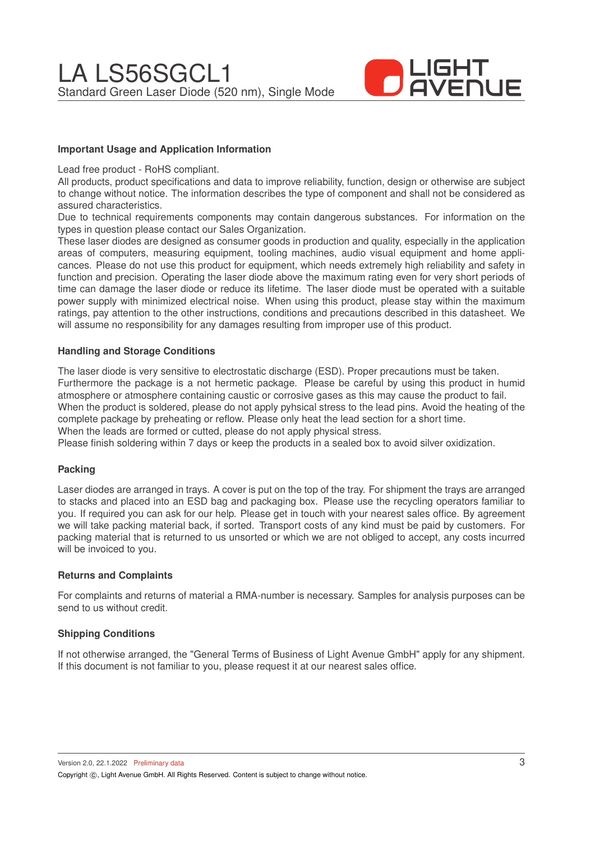

# **Important Usage and Application Information**

Lead free product - RoHS compliant.

All products, product specifications and data to improve reliability, function, design or otherwise are subject to change without notice. The information describes the type of component and shall not be considered as assured characteristics.

Due to technical requirements components may contain dangerous substances. For information on the types in question please contact our Sales Organization.

These laser diodes are designed as consumer goods in production and quality, especially in the application areas of computers, measuring equipment, tooling machines, audio visual equipment and home applicances. Please do not use this product for equipment, which needs extremely high reliability and safety in function and precision. Operating the laser diode above the maximum rating even for very short periods of time can damage the laser diode or reduce its lifetime. The laser diode must be operated with a suitable power supply with minimized electrical noise. When using this product, please stay within the maximum ratings, pay attention to the other instructions, conditions and precautions described in this datasheet. We will assume no responsibility for any damages resulting from improper use of this product.

#### **Handling and Storage Conditions**

The laser diode is very sensitive to electrostatic discharge (ESD). Proper precautions must be taken. Furthermore the package is a not hermetic package. Please be careful by using this product in humid atmosphere or atmosphere containing caustic or corrosive gases as this may cause the product to fail. When the product is soldered, please do not apply pyhsical stress to the lead pins. Avoid the heating of the complete package by preheating or reflow. Please only heat the lead section for a short time. When the leads are formed or cutted, please do not apply physical stress.

Please finish soldering within 7 days or keep the products in a sealed box to avoid silver oxidization.

# **Packing**

Laser diodes are arranged in trays. A cover is put on the top of the tray. For shipment the trays are arranged to stacks and placed into an ESD bag and packaging box. Please use the recycling operators familiar to you. If required you can ask for our help. Please get in touch with your nearest sales office. By agreement we will take packing material back, if sorted. Transport costs of any kind must be paid by customers. For packing material that is returned to us unsorted or which we are not obliged to accept, any costs incurred will be invoiced to you.

# **Returns and Complaints**

For complaints and returns of material a RMA-number is necessary. Samples for analysis purposes can be send to us without credit.

# **Shipping Conditions**

If not otherwise arranged, the "General Terms of Business of Light Avenue GmbH" apply for any shipment. If this document is not familiar to you, please request it at our nearest sales office.

Version 2.0, 22.1.2022 Preliminary data Copyright (C), Light Avenue GmbH. All Rights Reserved. Content is subject to change without notice.